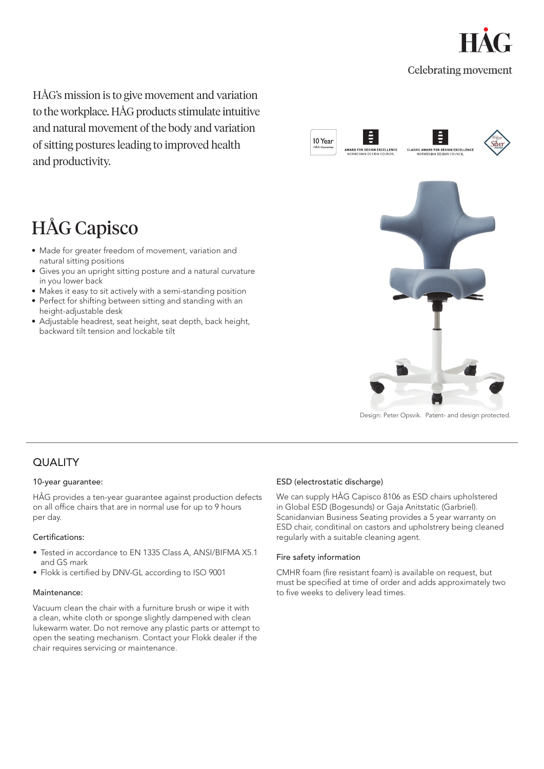

HÅG's mission is to give movement and variation to the workplace. HÅG products stimulate intuitive and natural movement of the body and variation of sitting postures leading to improved health and productivity.



# HÅG Capisco

- Made for greater freedom of movement, variation and natural sitting positions
- Gives you an upright sitting posture and a natural curvature in you lower back
- Makes it easy to sit actively with a semi-standing position
- Perfect for shifting between sitting and standing with an height-adjustable desk
- Adjustable headrest, seat height, seat depth, back height, backward tilt tension and lockable tilt



Design: Peter Opsvik. Patent- and design protected.

# **QUALITY**

#### 10-year guarantee:

HÅG provides a ten-year guarantee against production defects on all office chairs that are in normal use for up to 9 hours per day.

## Certifications:

- Tested in accordance to EN 1335 Class A, ANSI/BIFMA X5.1 and GS mark
- Flokk is certified by DNV-GL according to ISO 9001

#### Maintenance:

Vacuum clean the chair with a furniture brush or wipe it with a clean, white cloth or sponge slightly dampened with clean lukewarm water. Do not remove any plastic parts or attempt to open the seating mechanism. Contact your Flokk dealer if the chair requires servicing or maintenance.

## ESD (electrostatic discharge)

We can supply HÅG Capisco 8106 as ESD chairs upholstered in Global ESD (Bogesunds) or Gaja Anitstatic (Garbriel). Scanidanvian Business Seating provides a 5 year warranty on ESD chair, conditinal on castors and upholstrery being cleaned regularly with a suitable cleaning agent.

#### Fire safety information

CMHR foam (fire resistant foam) is available on request, but must be specified at time of order and adds approximately two to five weeks to delivery lead times.